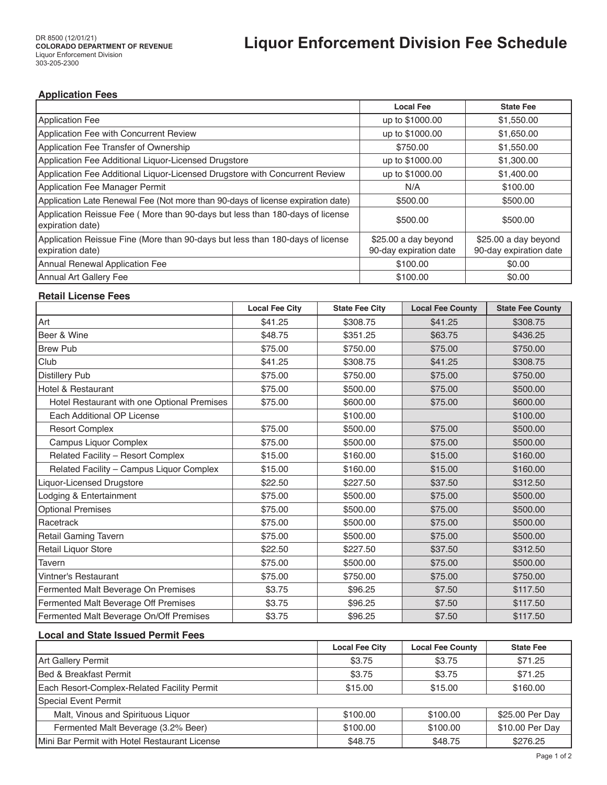## **Application Fees**

|                                                                                                   | <b>Local Fee</b>                               | <b>State Fee</b>                               |
|---------------------------------------------------------------------------------------------------|------------------------------------------------|------------------------------------------------|
| Application Fee                                                                                   | up to \$1000.00                                | \$1,550.00                                     |
| Application Fee with Concurrent Review                                                            | up to \$1000.00                                | \$1,650.00                                     |
| Application Fee Transfer of Ownership                                                             | \$750.00                                       | \$1,550.00                                     |
| Application Fee Additional Liquor-Licensed Drugstore                                              | up to \$1000.00                                | \$1,300.00                                     |
| Application Fee Additional Liquor-Licensed Drugstore with Concurrent Review                       | up to \$1000.00                                | \$1,400.00                                     |
| Application Fee Manager Permit                                                                    | N/A                                            | \$100.00                                       |
| Application Late Renewal Fee (Not more than 90-days of license expiration date)                   | \$500.00                                       | \$500.00                                       |
| Application Reissue Fee (More than 90-days but less than 180-days of license<br>expiration date)  | \$500.00                                       | \$500.00                                       |
| Application Reissue Fine (More than 90-days but less than 180-days of license<br>expiration date) | \$25.00 a day beyond<br>90-day expiration date | \$25.00 a day beyond<br>90-day expiration date |
| <b>Annual Renewal Application Fee</b>                                                             | \$100.00                                       | \$0.00                                         |
| Annual Art Gallery Fee                                                                            | \$100.00                                       | \$0.00                                         |

### **Retail License Fees**

|                                             | <b>Local Fee City</b> | <b>State Fee City</b> | <b>Local Fee County</b> | <b>State Fee County</b> |
|---------------------------------------------|-----------------------|-----------------------|-------------------------|-------------------------|
| Art                                         | \$41.25               | \$308.75              | \$41.25                 | \$308.75                |
| Beer & Wine                                 | \$48.75               | \$351.25              | \$63.75                 | \$436.25                |
| <b>Brew Pub</b>                             | \$75.00               | \$750.00              | \$75.00                 | \$750.00                |
| Club                                        | \$41.25               | \$308.75              | \$41.25                 | \$308.75                |
| Distillery Pub                              | \$75.00               | \$750.00              | \$75.00                 | \$750.00                |
| Hotel & Restaurant                          | \$75.00               | \$500.00              | \$75.00                 | \$500.00                |
| Hotel Restaurant with one Optional Premises | \$75.00               | \$600.00              | \$75.00                 | \$600.00                |
| Each Additional OP License                  |                       | \$100.00              |                         | \$100.00                |
| <b>Resort Complex</b>                       | \$75.00               | \$500.00              | \$75.00                 | \$500.00                |
| Campus Liquor Complex                       | \$75.00               | \$500.00              | \$75.00                 | \$500.00                |
| Related Facility - Resort Complex           | \$15.00               | \$160.00              | \$15.00                 | \$160.00                |
| Related Facility - Campus Liquor Complex    | \$15.00               | \$160.00              | \$15.00                 | \$160.00                |
| Liquor-Licensed Drugstore                   | \$22.50               | \$227.50              | \$37.50                 | \$312.50                |
| Lodging & Entertainment                     | \$75.00               | \$500.00              | \$75.00                 | \$500.00                |
| <b>Optional Premises</b>                    | \$75.00               | \$500.00              | \$75.00                 | \$500.00                |
| Racetrack                                   | \$75.00               | \$500.00              | \$75.00                 | \$500.00                |
| Retail Gaming Tavern                        | \$75.00               | \$500.00              | \$75.00                 | \$500.00                |
| Retail Liquor Store                         | \$22.50               | \$227.50              | \$37.50                 | \$312.50                |
| Tavern                                      | \$75.00               | \$500.00              | \$75.00                 | \$500.00                |
| Vintner's Restaurant                        | \$75.00               | \$750.00              | \$75.00                 | \$750.00                |
| Fermented Malt Beverage On Premises         | \$3.75                | \$96.25               | \$7.50                  | \$117.50                |
| Fermented Malt Beverage Off Premises        | \$3.75                | \$96.25               | \$7.50                  | \$117.50                |
| Fermented Malt Beverage On/Off Premises     | \$3.75                | \$96.25               | \$7.50                  | \$117.50                |

### **Local and State Issued Permit Fees**

|                                               | <b>Local Fee City</b> | <b>Local Fee County</b> | <b>State Fee</b> |
|-----------------------------------------------|-----------------------|-------------------------|------------------|
| Art Gallery Permit                            | \$3.75                | \$3.75                  | \$71.25          |
| <b>IBed &amp; Breakfast Permit</b>            | \$3.75                | \$3.75                  | \$71.25          |
| Each Resort-Complex-Related Facility Permit   | \$15.00               | \$15.00                 | \$160.00         |
| Special Event Permit                          |                       |                         |                  |
| Malt, Vinous and Spirituous Liquor            | \$100.00              | \$100.00                | \$25.00 Per Day  |
| Fermented Malt Beverage (3.2% Beer)           | \$100.00              | \$100.00                | \$10.00 Per Day  |
| Mini Bar Permit with Hotel Restaurant License | \$48.75               | \$48.75                 | \$276.25         |